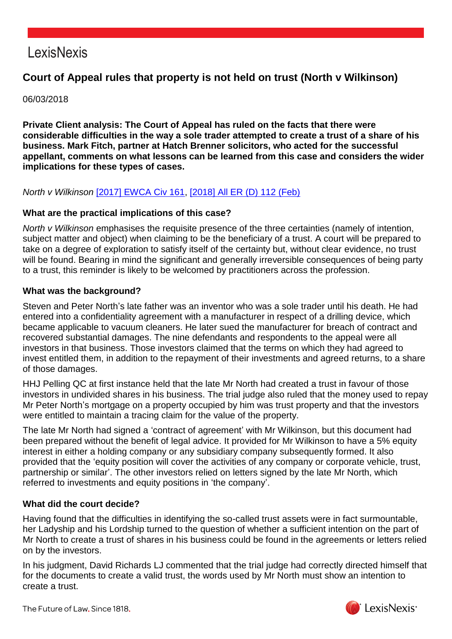## LexisNexis

### **Court of Appeal rules that property is not held on trust (North v Wilkinson)**

06/03/2018

**Private Client analysis: The Court of Appeal has ruled on the facts that there were considerable difficulties in the way a sole trader attempted to create a trust of a share of his business. Mark Fitch, partner at Hatch Brenner solicitors, who acted for the successful appellant, comments on what lessons can be learned from this case and considers the wider implications for these types of cases.**

### *North v Wilkinson* [\[2017\] EWCA Civ 161,](https://www.lexisnexis.com/uk/lexispsl/disputeresolution/citationlinkHandler.faces?bct=A&service=citation&risb=&EWCACIV&$sel1!%252017%25$year!%252017%25$page!%25161%25) [\[2018\] All ER \(D\) 112 \(Feb\)](https://www.lexisnexis.com/uk/lexispsl/disputeresolution/citationlinkHandler.faces?bct=A&service=citation&risb=&ALLERD&$sel1!%252018%25$year!%252018%25$sel2!%2502%25$vol!%2502%25$page!%25112%25)

#### **What are the practical implications of this case?**

*North v Wilkinson* emphasises the requisite presence of the three certainties (namely of intention, subject matter and object) when claiming to be the beneficiary of a trust. A court will be prepared to take on a degree of exploration to satisfy itself of the certainty but, without clear evidence, no trust will be found. Bearing in mind the significant and generally irreversible consequences of being party to a trust, this reminder is likely to be welcomed by practitioners across the profession.

#### **What was the background?**

Steven and Peter North's late father was an inventor who was a sole trader until his death. He had entered into a confidentiality agreement with a manufacturer in respect of a drilling device, which became applicable to vacuum cleaners. He later sued the manufacturer for breach of contract and recovered substantial damages. The nine defendants and respondents to the appeal were all investors in that business. Those investors claimed that the terms on which they had agreed to invest entitled them, in addition to the repayment of their investments and agreed returns, to a share of those damages.

HHJ Pelling QC at first instance held that the late Mr North had created a trust in favour of those investors in undivided shares in his business. The trial judge also ruled that the money used to repay Mr Peter North's mortgage on a property occupied by him was trust property and that the investors were entitled to maintain a tracing claim for the value of the property.

The late Mr North had signed a 'contract of agreement' with Mr Wilkinson, but this document had been prepared without the benefit of legal advice. It provided for Mr Wilkinson to have a 5% equity interest in either a holding company or any subsidiary company subsequently formed. It also provided that the 'equity position will cover the activities of any company or corporate vehicle, trust, partnership or similar'. The other investors relied on letters signed by the late Mr North, which referred to investments and equity positions in 'the company'.

#### **What did the court decide?**

Having found that the difficulties in identifying the so-called trust assets were in fact surmountable, her Ladyship and his Lordship turned to the question of whether a sufficient intention on the part of Mr North to create a trust of shares in his business could be found in the agreements or letters relied on by the investors.

In his judgment, David Richards LJ commented that the trial judge had correctly directed himself that for the documents to create a valid trust, the words used by Mr North must show an intention to create a trust.